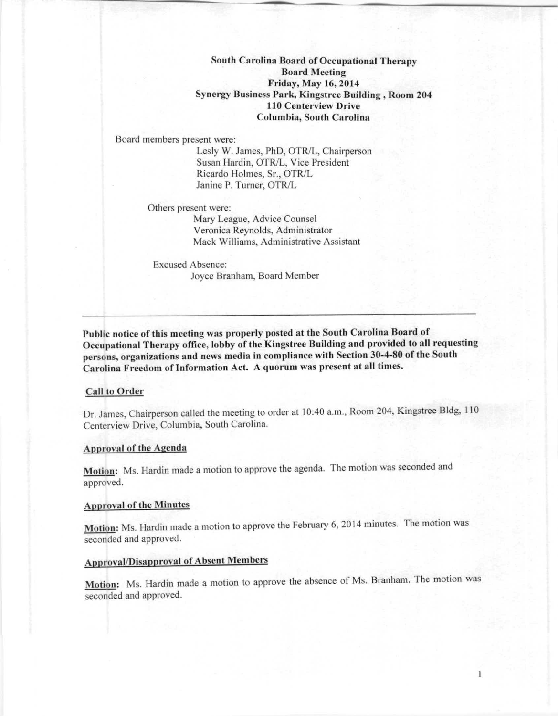South Carolina Board of Occupational Therap)' Board Meeting Friday, May 16,2014 Synergy Business Park, Kingstree Building, Room 204 110 Centerview Drive Columbia, South Carolina

Board members present were:

Lesly W. James, PhD, OTR/L, Chairperson Susan Hardin, OTR/L, Vice President Ricardo Holmes, Sr., OTR/L Janine P. Turner, OTR/L

Others present were:

Mary League, Advice Counsel Veronica Reynolds, Administrator Mack Williams, Administrative Assistant

Excused Absence: Joyce Branham, Board Member

Puhlie notice of this meeting was properly posted at the South Carolina Board of Occupational Therapy office, lobby of the Kingstree Building and provided to all requesting persons, organizations and news media in compliance with Section 30-4-80 of the South Carolina Freedom of Information Act. A quorum was present at all times.

### Call to Order

Dr. James, Chairperson called the meeting to order at 10:40 a.m., Room 204, Kingstree Bldg, 110 Centerview Drive, Columbia, South Carolina.

### Approval of the Agenda

Motion: Ms. Hardin made a motion to approve the agenda. The motion was seconded and approved.

### Approval of the Minutes

Motion: Ms. Hardin made a motion to approve the February 6, 2014 minutes. The motion was seconded and approved.

# Approval/Disapproval of Absent Members

Motion: Ms. Hardin made a motion to approve the absence of Ms. Branham. The motion was seconded and approved.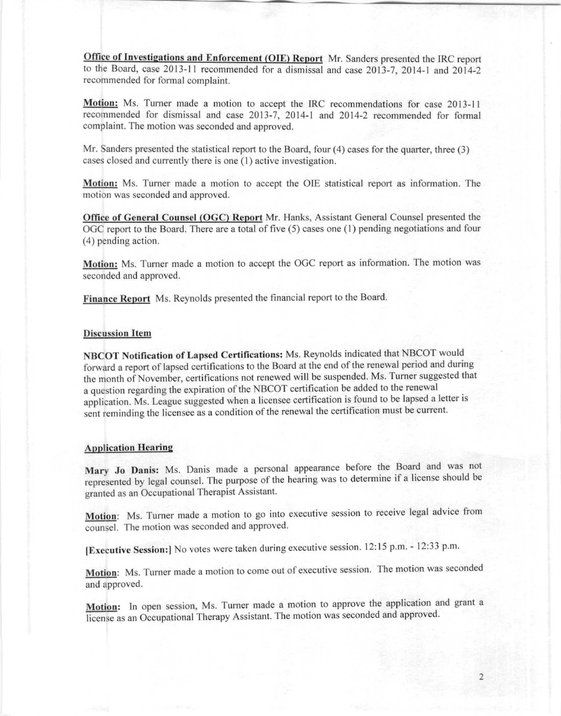Office of Investigations and Enforcement (OIE) Report Mr. Sanders presented the IRC report to the Board, case 2013.11 recommended for a dismissal and case 2013-7, 2014-1 and 2014.2 recommended for formal complaint.

Motion: Ms. Turner made a motion to accept the IRC recommendations for case 2013-11 recommended for dismissal and case 2013-7, 2014.1 and 2014.2 recommended for formal complaint. The motion was seconded and approved.

Mr. Sanders presented the statistical report to the Board, four (4) cases for the quarter, three (3) cases closed and currently there is one (I) active investigation.

Motion: Ms. Tumer made a motion to accept the OlE statistical report as information. The motion was seconded and approved.

Office of General Counsel (OGC) Report Mr. Hanks, Assistant General Counsel presented the OGC report to the Board. There are a total of five (5) cases one (I) pending negotiations and four (4) pending action.

Motion: Ms. Turner made a motion to accept the OGC report as information. The motion was seconded and approved.

Finance Report Ms. Reynolds presented the financial report to the Board.

### Discussion **Item**

NBCOT Notification of Lapsed Certifications: Ms. Reynolds indicated that NBCOT would forward a report of lapsed certifications to the Board at the end of the renewal period and during the month of November, certifications not renewed will be suspended. Ms. Turner suggested that a question regarding the expiration of the NBCOT certification be added to the renewal application. Ms. League suggested when a licensee certification is found to be lapsed a letter is sent reminding the liccnsee as a condition of the renewal the certification must be current.

### **Application Hearing**

Mary Jo Danis: Ms. Danis made a personal appearance before the Board and was not represented by legal counsel. The purpose of the hearing was to determine if a license should be granted as an Occupational Therapist Assistant.

Motion: Ms. Turner made a motion to go into executive session to receive legal advice from counsel. The motion was seconded and approved.

IExecutive Session:1 No votes were taken during execulive session. 12:15 p.m. - 12:33 p.m.

Motion: Ms. Turner made a motion to come out of executive session. The motion was seconded and approved.

Motion: In open session, Ms. Turner made a motion to approve the application and grant a license as an Occupational Therapy Assistant. The motion was seconded and approved.